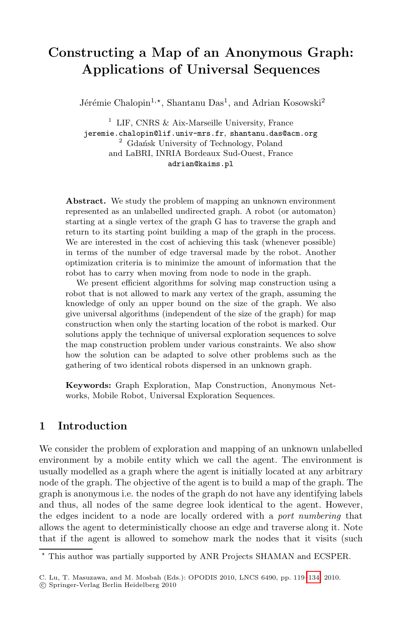# **Constructing a Map of an Anonymous Graph: Applications of Universal Sequences**

Jérémie Chalopin<sup>1,\*</sup>, Shantanu Das<sup>1</sup>, and Adrian Kosowski<sup>2</sup>

<sup>1</sup> LIF, CNRS & Aix-Marseille University, France jeremie.chalopin@lif.univ-mrs.fr, shantanu.das@acm.org <sup>2</sup> Gdańsk University of Technology, Poland and LaBRI, INRIA Bordeaux Sud-Ouest, France adrian@kaims.pl

**Abstract.** We study the problem of mapping an unknown environment represented as an unlabelled undirected graph. A robot (or automaton) starting at a single vertex of the graph G has to traverse the graph and return to its starting point building a map of the graph in the process. We are interested in the cost of achieving this task (whenever possible) in terms of the number of edge traversal made by the robot. Another optimization criteria is to minimize the amount of information that the robot has to carry when moving from node to node in the graph.

We present efficient algorithms for solving map construction using a robot that is not allowed to mark any vertex of the graph, assuming the knowledge of only an upper bound on the size of the graph. We also give universal algorithms (independent of the size of the graph) for map construction when only the starting location of the robot is marked. Our solutions apply the technique of universal exploration sequences to solve the map construction problem under various constraints. We also show how the solution can be adapted to solve other problems such as the gathering of two identical robots dispersed in an unknown graph.

**Keywords:** Graph Exploration, Map Construction, Anonymous Networks, Mobile Robot, Universal Exploration Sequences.

## **1 Introduction**

We consider the problem of exploration and mapping of an unknown unlabelled environment by a mobile entity which we call the agent. The environment is usually modelled as a graph where the agent is initially located at any arbitrary node of the graph. The objective of the agent is to build a map of the graph. The graph is anonymous i.e. the nodes of the graph [do n](#page-15-0)ot have any identifying labels and thus, all nodes of the same degree look identical to the agent. However, the edges incident to a node are locally ordered with a *port numbering* that allows the agent to deterministically choose an edge and traverse along it. Note that if the agent is allowed to somehow mark the nodes that it visits (such

<sup>-</sup> This author was partially supported by ANR Projects SHAMAN and ECSPER.

C. Lu, T. Masuzawa, and M. Mosbah (Eds.): OPODIS 2010, LNCS 6490, pp. 119–134, 2010.

<sup>-</sup>c Springer-Verlag Berlin Heidelberg 2010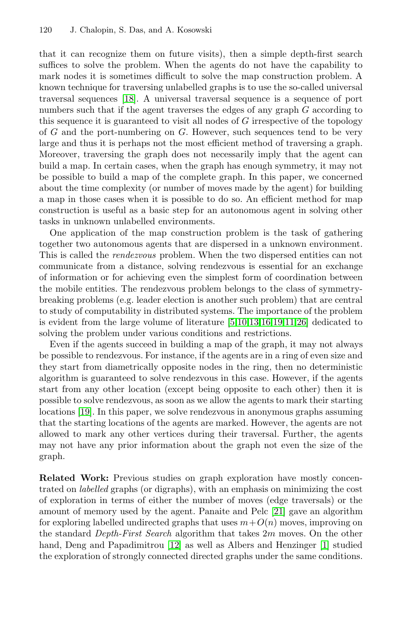that it can recognize them on future visits), then a simple depth-first search suffices to solve the problem. When the agents do not have the capability to mark nodes it is sometimes difficult to solve the map construction problem. A known technique for traversing unlabelled graphs is to use the so-called universal traversal sequences [18]. A universal traversal sequence is a sequence of port numbers such that if the agent traverses the edges of any graph G according to this sequence it is guaranteed to visit all nodes of G irrespective of the topology of  $G$  and the port-numbering on  $G$ . However, such sequences tend to be very large and thus it is perhaps not the most efficient method of traversing a graph. Moreover, traversing the graph does not necessarily imply that the agent can build a map. In certain cases, when the graph has enough symmetry, it may not be possible to build a map of the complete graph. In this paper, we concerned about the time complexity (or number of moves made by the agent) for building a map in those cases when it is possible to do so. An efficient method for map construction is useful as a basic step for an autonomous agent in solving other tasks in unknown unlabelled environments.

One application of the [m](#page-14-0)[ap](#page-15-1) [co](#page-15-2)[nstr](#page-15-3)[uc](#page-15-4)[tio](#page-15-5)[n p](#page-15-6)roblem is the task of gathering together two autonomous agents that are dispersed in a unknown environment. This is called the *rendezvous* problem. When the two dispersed entities can not communicate from a distance, solving rendezvous is essential for an exchange of information or for achieving even the simplest form of coordination between the mobile entities. The rendezvous problem belongs to the class of symmetrybreaking problems (e.g. leader election is another such problem) that are central to study of computability in distributed systems. The importance of the problem is evident from the large volume of literature [5,10,13,16,19,11,26] dedicated to solving the problem under various conditions and restrictions.

Even if the agents succeed in building a map of the graph, it may not always be possible to rendezvous. For instance, if the agents are in a ring of even size and they start from diametrically opposite nodes in the ring, then no deterministic algorithm is guaranteed to solve rendezvous in this case. However, if the agents start from any other location (except being opposite to each other) then it is possible to solve rendezvous, as soon as we allow the agents to mark their starting locations [19]. In this paper, we solve rendezvous in anonymous graphs assuming that the starting locations of the agent[s ar](#page-15-7)e marked. However, the agents are not allowed to mark any other vertices during their traversal. Further, the agents may not have any prior information about the graph not even the size of the graph.

**Related Work:** Previous studies on graph exploration have mostly concentrated on *labelled* graphs (or digraphs), with an emphasis on minimizing the cost of exploration in terms of either the number of moves (edge traversals) or the amount of memory used by the agent. Panaite and Pelc [21] gave an algorithm for exploring labelled undirected graphs that uses  $m+O(n)$  moves, improving on the standard *Depth-First Search* algorithm that takes 2m moves. On the other hand, Deng and Papadimitrou [12] as well as Albers and Henzinger [1] studied the exploration of strongly connected directed graphs under the same conditions.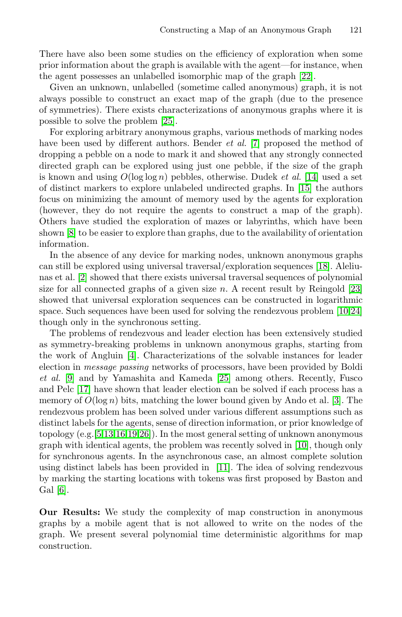There have also been some stud[ies](#page-14-1) on the efficiency of exploration when some prior information about the graph is available with the agent—for instance, when the agent possesses an unlabelled isomorphic map of the graph [22].

Given an unknown, unlabelled (sometime c[alle](#page-15-8)d anonymous) graph, it is not always possible to construct an exact map [of t](#page-15-9)he graph (due to the presence of symmetries). There exists characterizations of anonymous graphs where it is possible to solve the problem [25].

For exploring arbitrary anonymous graphs, various methods of marking nodes have been used by different authors. Bender *et al.* [7] proposed the method of dropping a pebble on a node to mark it and showed that any strongly connected directed graph can be explored using just one pebble, if the size of the graph is known and using  $O(\log \log n)$  pebbles, otherwi[se. D](#page-15-10)udek *et al.* [14] used a set of distinct markers to explore unlabeled undirected graphs. In [15] the authors focus on minimizing the amount of memory used by the [age](#page-15-11)nts for exploration (however, they do not require the agents to construct a map of the graph). Others have studied the exploration of mazes or lab[yri](#page-15-1)[nths](#page-15-12), which have been shown [8] to be easier to explore than graphs, due to the availability of orientation information.

In the absence of any device for marking nodes, unknown anonymous graphs ca[n s](#page-14-2)till be explored using universal traversal/exploration sequences [18]. Aleliunas et al. [2] showed that there exists universal traversal sequences of polynomial size for all connected gr[aphs](#page-15-13) of a given size  $n$ . A recent result by Reingold [23] showed that universal exploration sequences can be constructed in logarithmic space. Such sequences have been used for solving the [ren](#page-14-3)dezvous problem [10,24] though only in the synchronous setting.

The problems of rendezvous and leader election has been extensively studied [as](#page-15-3) [sy](#page-15-4)[mm](#page-15-6)etry-breaking problems in unknown anonymous graphs, starting from the work of Angluin [4]. Characterizations [of t](#page-15-1)he solvable instances for leader election in *message passing* networks of processors, have been provided by Boldi *et al.* [9] and by Yamas[hita](#page-15-5) and Kameda [25] among others. Recently, Fusco and Pelc [17] have shown that leader election can be solved if each process has a memory of  $O(\log n)$  bits, matching the lower bound given by Ando et al. [3]. The rendezvous problem has been solved under various different assumptions such as distinct labels for the agents, sense of direction information, or prior knowledge of topology  $(e.g. [5,13,16,19,26])$ . In the most general setting of unknown anonymous graph with identical agents, the problem was recently solved in [10], though only for synchronous agents. In the asynchronous case, an almost complete solution using distinct labels has been provided in [11]. The idea of solving rendezvous by marking the starting locations with tokens was first proposed by Baston and Gal [6].

**Our Results:** We study the complexity of map construction in anonymous graphs by a mobile agent that is not allowed to write on the nodes of the graph. We present several polynomial time deterministic algorithms for map construction.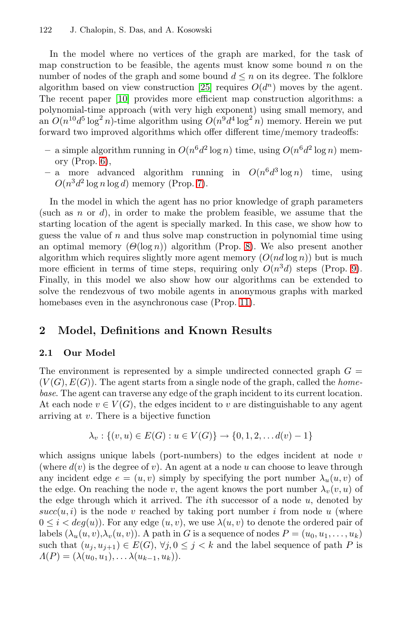In the model where no vertices of the graph are marked, for the task of map construction to be feasible, the agents must know some bound  $n$  on the number of nodes of the graph and some bound  $d \leq n$  on its degree. The folklore algorithm based on view construction [25] requires  $O(d^n)$  moves by the agent. The recent paper [[10](#page-8-0)] provides more efficient map construction algorithms: a polynomial-time approach (with very high exponent) using small memory, and an  $O(n^{10}d^5 \log^2 n)$ -time algorithm using  $O(n^9d^4 \log^2 n)$  memory. Herein we put forward two improved algorithms which offer different time/memory tradeoffs:

- a simple algorithm running in  $O(n^6d^2 \log n)$  time, using  $O(n^6d^2 \log n)$  memory  $(Prop. 6)$ ,
- $-$  a more advanced algorithm running in  $O(n^6d^3 \log n)$  time, using  $O(n^3d^2\log n\log d)$  memory (Prop. 7).

In the model in which the agent has no prior knowledge of graph parameters (such as n or d), in order to [ma](#page-14-4)ke the problem feasible, we assume that the starting location of the agent is specially marked. In this case, we show how to guess the value of  $n$  and thus solve map construction in polynomial time using an optimal memory  $(\Theta(\log n))$  algorithm (Prop. 8). We also present another algorithm which requires slightly more agent memory  $(O(nd \log n))$  but is much more efficient in terms of time steps, requiring only  $O(n^3d)$  steps (Prop. 9). Finally, in this model we also show how our algorithms can be extended to solve the rendezvous of two mobile agents in anonymous graphs with marked homebases even in the asynchronous case (Prop. 11).

## **2 Model, Definitions and Known Results**

#### **2.1 Our Model**

The environment is represented by a simple undirected connected graph  $G =$  $(V(G), E(G))$ . The agent starts from a single node of the graph, called the *homebase*. The agent can traverse any edge of the graph incident to its current location. At each node  $v \in V(G)$ , the edges incident to v are distinguishable to any agent arriving at v. There is a bijective function

$$
\lambda_v: \{(v, u) \in E(G) : u \in V(G)\} \to \{0, 1, 2, \dots d(v) - 1\}
$$

which assigns unique labels (port-numbers) to the edges incident at node  $v$ (where  $d(v)$  is the degree of v). An agent at a node u can choose to leave through any incident edge  $e = (u, v)$  simply by specifying the port number  $\lambda_u(u, v)$  of the edge. On reaching the node v, the agent knows the port number  $\lambda_v(v, u)$  of the edge through which it arrived. The  $i$ th successor of a node  $u$ , denoted by  $succ(u, i)$  is the node v reached by taking port number i from node u (where  $0 \leq i \leq deg(u)$ . For any edge  $(u, v)$ , we use  $\lambda(u, v)$  to denote the ordered pair of labels  $(\lambda_u(u, v), \lambda_v(u, v))$ . A path in G is a sequence of nodes  $P = (u_0, u_1, \dots, u_k)$ such that  $(u_i, u_{i+1}) \in E(G), \forall j, 0 \leq j < k$  and the label sequence of path P is  $\Lambda(P)=(\lambda(u_0, u_1), \ldots, \lambda(u_{k-1}, u_k)).$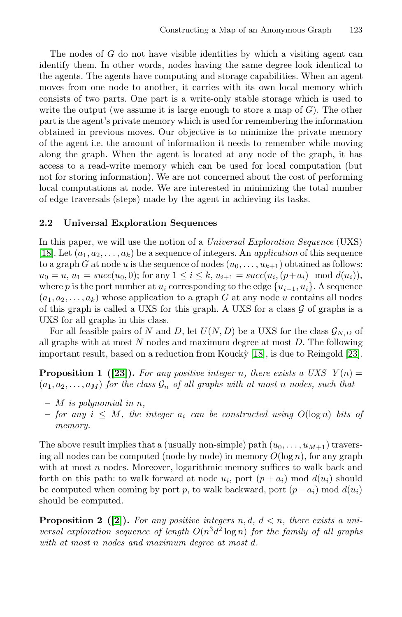The nodes of  $G$  do not have visible identities by which a visiting agent can identify them. In other words, nodes having the same degree look identical to the agents. The agents have computing and storage capabilities. When an agent moves from one node to another, it carries with its own local memory which consists of two parts. One part is a write-only stable storage which is used to write the output (we assume it is large enough to store a map of  $G$ ). The other part is the agent's private memory which is used for remembering the information obtained in previous moves. Our objective is to minimize the private memory of the agent i.e. the amount of information it needs to remember while moving along the graph. When the agent is located at any node of the graph, it has access to a read-write memory which can be used for local computation (but not for storing information). We are not concerned about the cost of performing local computations at node. We are interested in minimizing the total number of edge traversals (steps) made by the agent in achieving its tasks.

#### **2.2 Universal Exploration Sequences**

In this paper, we will use the notion of a *Universal Exploration Sequence* (UXS) [18]. Let  $(a_1, a_2, \ldots, a_k)$  be a sequence of integers. An *application* of this sequence to a graph G at node u is the sequ[ence](#page-15-10) of nodes  $(u_0,\ldots,u_{k+1})$  $(u_0,\ldots,u_{k+1})$  $(u_0,\ldots,u_{k+1})$  obtained as follows:  $u_0 = u, u_1 = succ(u_0, 0);$  for any  $1 \leq i \leq k, u_{i+1} = succ(u_i, (p+a_i) \mod d(u_i)),$ [wh](#page-15-11)ere p is the port number at  $u_i$  corresponding to the edge  $\{u_{i-1}, u_i\}$ . A sequence  $(a_1, a_2, \ldots, a_k)$  whose application to a graph G at any node u contains all nodes of this graph is called a UXS for this graph. A UXS for a class  $\mathcal G$  of graphs is a UXS for all graphs in this class.

For all feasible pairs of N and D, let  $U(N, D)$  be a UXS for the class  $\mathcal{G}_{N,D}$  of all graphs with at most  $N$  nodes and maximum degree at most  $D$ . The following important result, based on a reduction from Koucky  $[18]$ , is due to Reingold  $[23]$ .

**Proposition 1 ([23]).** For any positive integer n, there exists a UXS  $Y(n) =$  $(a_1, a_2, \ldots, a_M)$  *for the class*  $\mathcal{G}_n$  *of all graphs with at most n nodes, such that* 

- **–** M *is polynomial in* n*,*
- $-$  *for any*  $i \leq M$ *, the integer*  $a_i$  *can be constructed using*  $O(\log n)$  *bits of memory.*

The above result implies that a (usually non-simple) path  $(u_0,\ldots,u_{M+1})$  traversing all nodes can be computed (node by node) in memory  $O(\log n)$ , for any graph with at most  $n$  nodes. Moreover, logarithmic memory suffices to walk back and forth on this path: to walk forward at node  $u_i$ , port  $(p + a_i)$  mod  $d(u_i)$  should be computed when coming by port p, to walk backward, port  $(p-a_i) \text{ mod } d(u_i)$ should be computed.

**Proposition 2** ([2]). For any positive integers n, d,  $d < n$ , there exists a uni*versal exploration sequence of length*  $O(n^3d^2 \log n)$  *for the family of all graphs with at most* n *nodes and maximum degree at most* d*.*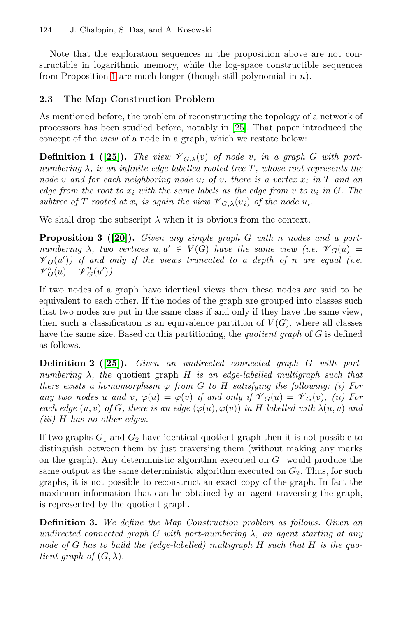Note that the exploration sequences in the proposition above are not con[s](#page-15-13)tructible in logarithmic memory, while the log-space constructible sequences from Proposition 1 are much longer (though still polynomial in  $n$ ).

#### **2.3 The Map Construction Problem**

<span id="page-5-0"></span>As mentioned before, the problem of reconstructing the topology of a network of processors has been studied before, notably in [25]. That paper introduced the concept of the *view* of a node in a graph, which we restate below:

**[De](#page-15-14)finition 1** ([25]). *The view*  $\mathcal{V}_{G,\lambda}(v)$  *of node v, in a graph G with portnumbering*  $\lambda$ , *is an infinite edge-labelled rooted tree*  $T$ *, whose root represents the node* v and for each neighboring node  $u_i$  of v, there is a vertex  $x_i$  in T and an *edge from the root to*  $x_i$  *with the same labels as the edge from*  $v$  *to*  $u_i$  *in*  $G$ *. The subtree of* T *rooted at*  $x_i$  *is again the view*  $\mathscr{V}_{G,\lambda}(u_i)$  *of the node*  $u_i$ *.* 

We shall drop the subscript  $\lambda$  when it is obvious from the context.

**Proposition 3 ([20]).** *Given any simple graph* G *with* n *nodes and a portnumbering*  $\lambda$ *, two vertices*  $u, u' \in V(G)$  *have the same view (i.e.*  $\mathcal{V}_G(u)$  =  ${\mathscr V}_G(u^\prime))$  if and only if the views truncated to a depth of n are equal (i.e.  $\mathscr{V}_G^n(u) = \mathscr{V}_G^n(u')$  $\mathscr{V}_G^n(u) = \mathscr{V}_G^n(u')$  $\mathscr{V}_G^n(u) = \mathscr{V}_G^n(u')$ .

If two nodes of a graph have identical views then these nodes are said to be equivalent to each other. If the nodes of the graph are grouped into classes such that two nodes are put in the same class if and only if they have the same view, then such a classification is an equivalence partition of  $V(G)$ , where all classes have the same size. Based on this partitioning, the *quotient graph* of G is defined as follows.

**Definition 2 ([25]).** *Given an undirected connected graph* G *with portnumbering* λ*, the* quotient graph H *is an edge-labelled multigraph such that there exists a homomorphism*  $\varphi$  *from* G *to* H *satisfying the following: (i) For any two nodes* u and v,  $\varphi(u) = \varphi(v)$  *if and only if*  $\mathscr{V}_G(u) = \mathscr{V}_G(v)$ *, (ii) For each edge*  $(u, v)$  *of G, there is an edge*  $(\varphi(u), \varphi(v))$  *in H labelled with*  $\lambda(u, v)$  *and (iii)* H *has no other edges.*

If two graphs  $G_1$  and  $G_2$  have identical quotient graph then it is not possible to distinguish between them by just traversing them (without making any marks on the graph). Any deterministic algorithm executed on  $G_1$  would produce the same output as the same deterministic algorithm executed on  $G_2$ . Thus, for such graphs, it is not possible to reconstruct an exact copy of the graph. In fact the maximum information that can be obtained by an agent traversing the graph, is represented by the quotient graph.

**Definition 3.** *We define the Map Construction problem as follows. Given an undirected connected graph* G *with port-numbering* λ*, an agent starting at any node of* G *has to build the (edge-labelled) multigraph* H *such that* H *is the quotient graph of*  $(G, \lambda)$ .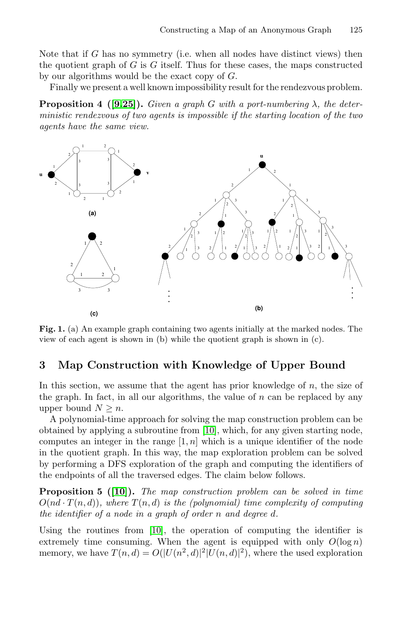<span id="page-6-0"></span>Note that if  $G$  has no symmetry (i.e. when all nodes have distinct views) then the quotient graph of  $G$  is  $G$  itself. Thus for these cases, the maps constructed by our algorithms would be the exact copy of G.

Finally we present a well known impossibility result for the rendezvous problem.

**Proposition 4** ([9,25]). *Given a graph G with a port-numbering*  $\lambda$ *, the deterministic rendezvous of two agents is impossible if the starting location of the two agents have the same view.*



**Fig. 1.** (a) An example graph containing two agents initially at the marked nodes. The view of each agent is s[how](#page-15-1)n in (b) while the quotient graph is shown in (c).

### **3 Map Construction with Knowledge of Upper Bound**

In this section, we assume that the agent has prior knowledge of  $n$ , the size of the graph. In fact, in all our algorithms, the value of  $n$  can be replaced by any [up](#page-15-1)per bound  $N \geq n$ .

A polynomial-time approach for solving the map construction problem can be obtained by applying a subroutine from [10], which, for any given starting node, comput[es a](#page-15-1)n integer in the range  $[1, n]$  which is a unique identifier of the node in the quotient graph. In this way, the map exploration problem can be solved by performing a DFS exploration of the graph and computing the identifiers of the endpoints of all the traversed edges. The claim below follows.

**Proposition 5 ([10]).** *The map construction problem can be solved in time*  $O(nd \cdot T(n,d))$ *, where*  $T(n,d)$  *is the (polynomial) time complexity of computing the identifier of a node in a graph of order* n *and degree* d*.*

Using the routines from [10], the operation of computing the identifier is extremely time consuming. When the agent is equipped with only  $O(\log n)$ memory, we have  $T(n,d) = O(|U(n^2,d)|^2 |U(n,d)|^2)$ , where the used exploration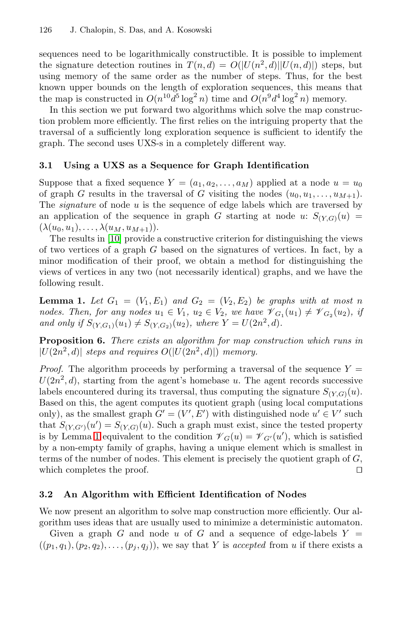sequences need to be logarithmically constructible. It is possible to implement the signature detection routines in  $T(n, d) = O(|U(n^2, d)||U(n, d)|)$  steps, but using memory of the same order as the number of steps. Thus, for the best known upper bounds on the length of exploration sequences, this means that the map is constructed in  $O(n^{10}d^5 \log^2 n)$  time and  $O(n^9d^4 \log^2 n)$  memory.

In this section we put forward two algorithms which solve the map construction problem more efficiently. The first relies on the intriguing property that the traversal of a sufficiently long exploration sequence is sufficient to identify the graph. The second uses UXS-s in a completely different way.

#### **3.1 Using a UXS as a Sequence for Graph Identification**

Suppose that a fixed sequence  $Y = (a_1, a_2, \ldots, a_M)$  applied at a node  $u = u_0$ of graph G results in the traversal of G visiting the nodes  $(u_0, u_1, \ldots, u_{M+1})$ . The *signature* of node u is the sequence of edge labels which are traversed by an application of the sequence in graph G starting at node u:  $S_{(Y,G)}(u)$  $(\lambda(u_0, u_1), \ldots, \lambda(u_M, u_{M+1})).$ 

The results in [10] provide a constructive criterion for distinguishing the views of two vertices of a graph  $G$  based on the signatures of vertices. In fact, by a minor modification of their proof, we obtain a method for distinguishing the views of vertices in any two (not necessarily identical) graphs, and we have the following result.

**Lemma 1.** Let  $G_1 = (V_1, E_1)$  and  $G_2 = (V_2, E_2)$  be graphs with at most n *nodes. Then, for any nodes*  $u_1 \in V_1$ ,  $u_2 \in V_2$ , we have  $\mathscr{V}_{G_1}(u_1) \neq \mathscr{V}_{G_2}(u_2)$ , if *and only if*  $S_{(Y,G_1)}(u_1) \neq S_{(Y,G_2)}(u_2)$ *, where*  $Y = U(2n^2, d)$ *.* 

**Proposition 6.** *There exists an algorithm for map construction which runs in*  $|U(2n^2, d)|$  *steps and requires*  $O(|U(2n^2, d)|)$  *memory.* 

*Proof.* The algorithm proceeds by performing a traversal of the sequence  $Y =$  $U(2n^2, d)$ , starting from the agent's homebase u. The agent records successive labels encountered during its traversal, thus computing the signature  $S_{(Y,G)}(u)$ . Based on this, the agent computes its quotient graph (using local computations only), as the smallest graph  $G' = (V', E')$  with distinguished node  $u' \in V'$  such that  $S_{(Y,G')}(u') = S_{(Y,G)}(u)$ . Such a graph must exist, since the tested property is by Lemma 1 equivalent to the condition  $\mathscr{V}_G(u) = \mathscr{V}_{G'}(u')$ , which is satisfied by a non-empty family of graphs, having a unique element which is smallest in terms of the number of nodes. This element is precisely the quotient graph of  $G$ , which completes the proof.  $\Box$ 

## **3.2 An Algorithm with Efficient Identification of Nodes**

We now present an algorithm to solve map construction more efficiently. Our algorithm uses ideas that are usually used to minimize a deterministic automaton.

Given a graph G and node u of G and a sequence of edge-labels  $Y =$  $((p_1, q_1), (p_2, q_2), \ldots, (p_i, q_i))$ , we say that Y is *accepted* from u if there exists a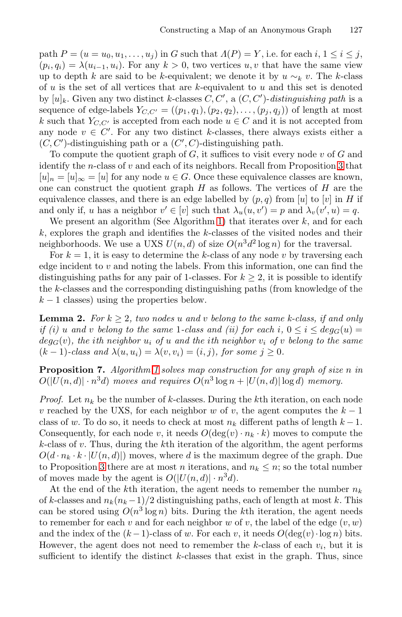path  $P = (u = u_0, u_1, \ldots, u_i)$  in G such that  $\Lambda(P) = Y$ , i.e. for each  $i, 1 \le i \le j$ ,  $(p_i, q_i) = \lambda(u_{i-1}, u_i)$ . For any  $k > 0$ , two vertices  $u, v$  that have the same view up to depth k are said to be k-equivalent; we denote [it](#page-5-0) by  $u \sim_k v$ . The k-class of  $u$  is the set of all vertices that are  $k$ -equivalent to  $u$  and this set is denoted by  $[u]_k$ . Given any two distinct k-classes  $C, C', a(C, C')$ -distinguishing path is a sequence of edge-labels  $Y_{C,C'} = ((p_1, q_1), (p_2, q_2), \ldots, (p_j, q_j))$  of length at most k such that  $Y_{C,C'}$  is accepted from each node  $u \in C$  and it is not accepted from a[ny](#page-9-0) node  $v \in C'$ . For any two distinct k-classes, there always exists either a  $(C, C')$ -distinguishing path or a  $(C', C)$ -distinguishing path.

To compute the quotient graph of  $G$ , it suffices to visit every node  $v$  of  $G$  and identify the n-class of v and each of its neighbors. Recall from Proposition 3 that  $[u]_n = [u]_{\infty} = [u]$  for any node  $u \in G$ . Once these equivalence classes are known, one can construct the quotient graph  $H$  as follows. The vertices of  $H$  are the equivalence classes, and there is an edge labelled by  $(p, q)$  from [u] to [v] in H if and only if, u has a neighbor  $v' \in [v]$  such that  $\lambda_u(u, v') = p$  and  $\lambda_v(v', u) = q$ .

We present an algorithm (See Algorithm 1) that iterates over  $k$ , and for each  $k$ , explores the graph and identifies the  $k$ -classes of the visited nodes and their neighborhoods. We use a UXS  $U(n, d)$  of size  $O(n^3d^2 \log n)$  for the traversal.

<span id="page-8-0"></span>For  $k = 1$ , it is easy to determine the k-class of any node v by traversing each edge incident to  $v$  and noting the labels. From this information, one can find the distinguishing paths for any pair of 1-classes. For  $k \geq 2$ , it is possible to identify the k-cla[sse](#page-9-0)s and the corresponding distinguishing paths (from knowledge of the  $k - 1$  classes) using the properties below.

**Lemma 2.** For  $k \geq 2$ , two nodes u and v belong to the same k-class, if and only *if (i)* u and v belong to the same 1-class and *(ii)* for each i,  $0 \le i \le deg_G(u)$  $deg_G(v)$ , the *i*th neighbor  $u_i$  of u and the *i*th neighbor  $v_i$  of v belong to the same  $(k-1)$ -class and  $\lambda(u, u_i) = \lambda(v, v_i) = (i, j)$ *, for some*  $j \geq 0$ *.* 

**Proposition 7.** *Algorithm 1 solves map construction for any graph of size* n *in*  $O(|U(n, d)| \cdot n^3 d)$  moves and requires  $O(n^3 \log n + |U(n, d)| \log d)$  *memory.* 

*Proof.* Let  $n_k$  be the number of k-classes. During the kth iteration, on each node v reached by the UXS, for each neighbor w of v, the agent computes the  $k-1$ class of w. To do so, it needs to check at most  $n_k$  different paths of length  $k-1$ . Consequently, for each node v, it needs  $O(\deg(v) \cdot n_k \cdot k)$  moves to compute the  $k$ -class of  $v$ . Thus, during the  $k$ <sup>th</sup> iteration of the algorithm, the agent performs  $O(d \cdot n_k \cdot k \cdot |U(n, d)|)$  moves, where d is the maximum degree of the graph. Due to Proposition 3 there are at most *n* iterations, and  $n_k \leq n$ ; so the total number of moves made by the agent is  $O(|U(n, d)| \cdot n^3 d)$ .

At the end of the kth iteration, the agent needs to remember the number  $n_k$ of k-classes and  $n_k(n_k-1)/2$  distinguishing paths, each of length at most k. This can be stored using  $O(n^3 \log n)$  bits. During the kth iteration, the agent needs to remember for each v and for each neighbor w of v, the label of the edge  $(v, w)$ and the index of the  $(k-1)$ -class of w. For each v, it needs  $O(\deg(v) \cdot \log n)$  bits. However, the agent does not need to remember the k-class of each  $v_i$ , but it is sufficient to identify the distinct k-classes that exist in the graph. Thus, since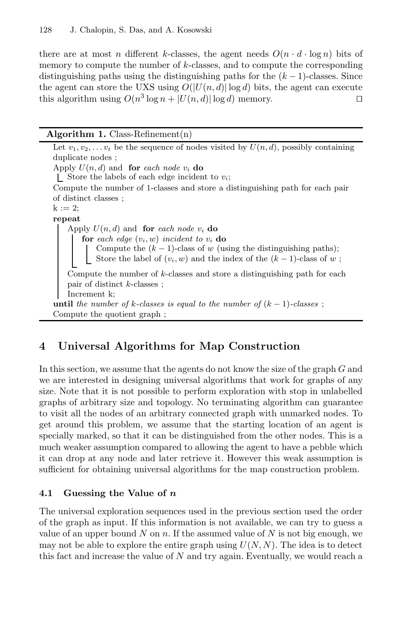there are at most n different k-classes, the agent needs  $O(n \cdot d \cdot \log n)$  bits of memory to compute the number of k-classes, and to compute the corresponding distinguishing paths using the distinguishing paths for the  $(k-1)$ -classes. Since the agent can store the UXS using  $O(|U(n, d)| \log d)$  bits, the agent can execute this algorithm using  $O(n^3 \log n + |U(n, d)| \log d)$  memory.

<span id="page-9-0"></span>

|  | Algorithm 1. Class-Refinement $(n)$ |  |  |
|--|-------------------------------------|--|--|
|--|-------------------------------------|--|--|

Let  $v_1, v_2, \ldots v_t$  be the sequence of nodes visited by  $U(n, d)$ , possibly containing duplicate nodes ; Apply  $U(n, d)$  and **for** *each node*  $v_i$  **do** Store the labels of each edge incident to  $v_i$ ; Compute the number of 1-classes and store a distinguishing path for each pair of distinct classes ;  $k := 2$ ; **repeat** Apply  $U(n, d)$  and **for** *each node*  $v_i$  **do for** *each edge*  $(v_i, w)$  *incident to*  $v_i$  **do** Compute the  $(k - 1)$ -class of w (using the distinguishing paths); Store the label of  $(v_i, w)$  and the index of the  $(k-1)$ -class of w; Compute the number of  $k$ -classes and store a distinguishing path for each pair of distinct k-classes ; Increment k; **until** *the number of*  $k$ *-classes is equal to the number of*  $(k-1)$ *-classes* ; Compute the quotient graph ;

## **4 Universal Algorithms for Map Construction**

In this section, we assume that the agents do not know the size of the graph G and we are interested in designing universal algorithms that work for graphs of any size. Note that it is not possible to perform exploration with stop in unlabelled graphs of arbitrary size and topology. No terminating algorithm can guarantee to visit all the nodes of an arbitrary connected graph with unmarked nodes. To get around this problem, we assume that the starting location of an agent is specially marked, so that it can be distinguished from the other nodes. This is a much weaker assumption compared to allowing the agent to have a pebble which it can drop at any node and later retrieve it. However this weak assumption is sufficient for obtaining universal algorithms for the map construction problem.

## <span id="page-9-1"></span>**4.1 Guessing the Value of** *n*

The universal exploration sequences used in the previous section used the order of the graph as input. If this information is not available, we can try to guess a value of an upper bound N on n. If the assumed value of N is not big enough, we may not be able to explore the entire graph using  $U(N,N)$ . The idea is to detect this fact and increase the value of  $N$  and try again. Eventually, we would reach a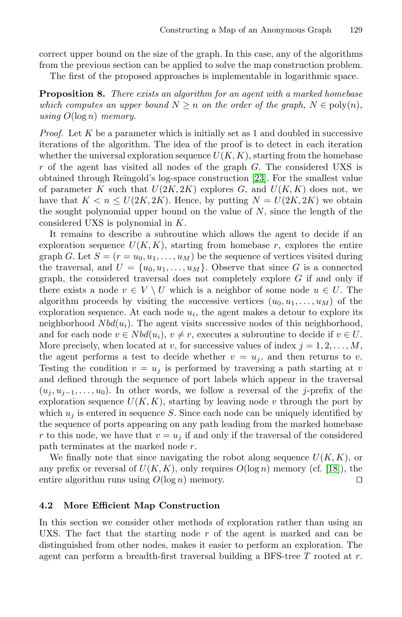correct upper bound on the size of the graph. In this case, any of the algorithms from the previous section can be applied to solve the map construction problem. The first of the proposed approaches is implementable in logarithmic space.

**Proposition 8.** *There exists an [algo](#page-15-11)rithm for an agent with a marked homebase*

*which computes an upper bound*  $N > n$  *on the order of the graph,*  $N \in \text{poly}(n)$ , *using* O(log n) *memory.*

*Proof.* Let  $K$  be a parameter which is initially set as 1 and doubled in successive iterations of the algorithm. The idea of the proof is to detect in each iteration whether the universal exploration sequence  $U(K, K)$ , starting from the homebase  $r$  of the agent has visited all nodes of the graph  $G$ . The considered UXS is obtained through Reingold's log-space construction [23]. For the smallest value of parameter K such that  $U(2K, 2K)$  explores G, and  $U(K, K)$  does not, we have that  $K < n \leq U(2K, 2K)$ . Hence, by putting  $N = U(2K, 2K)$  we obtain the sought polynomial upper bound on the value of  $N$ , since the length of the considered UXS is polynomial in K.

It remains to describe a subroutine which allows the agent to decide if an exploration sequence  $U(K, K)$ , starting from homebase r, explores the entire graph G. Let  $S = (r = u_0, u_1, \ldots, u_M)$  be the sequence of vertices visited during the traversal, and  $U = \{u_0, u_1, \ldots, u_M\}$ . Observe that since G is a connected graph, the considered traversal does not completely explore  $G$  if and only if there exists a node  $v \in V \setminus U$  which is a neighbor of some node  $u \in U$ . The algorithm proceeds by visiting the successive vertices  $(u_0, u_1, \ldots, u_M)$  of the exploration sequence. At each node  $u_i$ , the agent makes a detour to explore its neighborhood  $Nbd(u_i)$ . The agent visits successive nodes of this neighborhood, and for each node  $v \in Nbd(u_i), v \neq r$ , executes a subroutine to decide if  $v \in U$ . More precisely, when located at v, for successive values of index  $j = 1, 2, \ldots, M$ , the agent performs a test to decide whether  $v = u_j$ , and then returns to v. Testing the condition  $v = u_j$  is performed by traversing a path starting at v and defined through the sequence of port labels w[hich](#page-15-10) appear in the traversal  $(u_i, u_{i-1},\ldots,u_0)$ . In other words, we follow a reversal of the j-prefix of the exploration sequence  $U(K, K)$ , starting by leaving node v through the port by which  $u_i$  is entered in sequence S. Since each node can be uniquely identified by the sequence of ports appearing on any path leading from the marked homebase r to this node, we have that  $v = u_j$  if and only if the traversal of the considered path terminates at the marked node r.

We finally note that since navigating the robot along sequence  $U(K, K)$ , or any prefix or reversal of  $U(K, K)$ , only requires  $O(\log n)$  memory (cf. [18]), the entire algorithm runs using  $O(\log n)$  memory.

#### **4.2 More Efficient Map Construction**

In this section we consider other methods of exploration rather than using an UXS. The fact that the starting node  $r$  of the agent is marked and can be distinguished from other nodes, makes it easier to perform an exploration. The agent can perform a breadth-first traversal building a BFS-tree  $T$  rooted at  $r$ .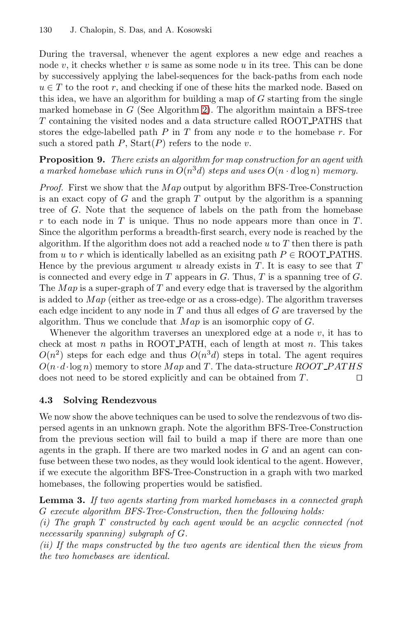During the traversal, whenever the agent explores a new edge and reaches a node  $v$ , it checks whether  $v$  is same as some node  $u$  in its tree. This can be done by successively applying the label-sequences for the back-paths from each node  $u \in T$  to the root r, and checking if one of these hits the marked node. Based on this idea, we have an algorithm for building a map of  $G$  starting from the single marked homebase in  $G$  (See Algorithm 2). The algorithm maintain a BFS-tree T containing the visited nodes and a data structure called ROOT PATHS that stores the edge-labelled path  $P$  in  $T$  from any node  $v$  to the homebase  $r$ . For such a stored path  $P$ ,  $Start(P)$  refers to the node v.

**Proposition 9.** *There exists an algorithm for map construction for an agent with a* marked homebase which runs in  $O(n<sup>3</sup>d)$  steps and uses  $O(n \cdot d \log n)$  memory.

*Proof.* First we show that the *Map* output by algorithm BFS-Tree-Construction is an exact copy of  $G$  and the graph  $T$  output by the algorithm is a spanning tree of G. Note that the sequence of labels on the path from the homebase r to each node in  $T$  is unique. Thus no node appears more than once in  $T$ . Since the algorithm performs a breadth-first search, every node is reached by the algorithm. If the algorithm does not add a reached node  $u$  to  $T$  then there is path from u to r which is identically labelled as an existing path  $P \in \text{ROOT\_PATHS}$ . Hence by the previous argument u already exists in  $T$ . It is easy to see that  $T$ is connected and every edge in  $T$  appears in  $G$ . Thus,  $T$  is a spanning tree of  $G$ . The Map is a super-graph of T and every edge that is traversed by the algorithm is added to  $Map$  (either as tree-edge or as a cross-edge). The algorithm traverses each edge incident to any node in  $T$  and thus all edges of  $G$  are traversed by the algorithm. Thus we conclude that  $Map$  is an isomorphic copy of  $G$ .

Whenever the algorithm traverses an unexplored edge at a node  $v$ , it has to check at most n paths in ROOT\_PATH, each of length at most  $n$ . This takes  $O(n^2)$  steps for each edge and thus  $O(n^3d)$  steps in total. The agent requires  $O(n \cdot d \cdot \log n)$  memory to store Map and T. The data-structure ROOT PATHS does not need to be stored explicitly and can be obtained from  $T$ .

#### **4.3 Solving Rendezvous**

We now show the above techniques can be used to solve the rendezvous of two dispersed agents in an unknown graph. Note the algorithm BFS-Tree-Construction from the previous section will fail to build a map if there are more than one agents in the graph. If there are two marked nodes in  $G$  and an agent can confuse between these two nodes, as they would look identical to the agent. However, if we execute the algorithm BFS-Tree-Construction in a graph with two marked homebases, the following properties would be satisfied.

**Lemma 3.** *If two agents starting from marked homebases in a connected graph* G *execute algorithm BFS-Tree-Construction, then the following holds:*

*(i) The graph* T *constructed by each agent would be an acyclic connected (not necessarily spanning) subgraph of* G*.*

*(ii) If the maps constructed by the two agents are identical then the views from the two homebases are identical.*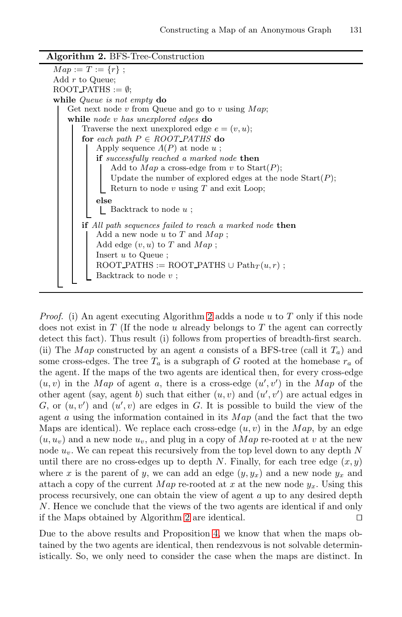<span id="page-12-0"></span>**Algorithm 2.** BFS-Tree-Construction

 $Map := T := \{r\}$ : Add r to Queue; ROOT PATHS  $:= \emptyset$ ; **while** *Queue is not empty* **do** Get next node  $v$  from Queue and go to  $v$  using  $Map$ ; **while** *node* v *has unexplored edges* **do** Traverse the next unexplored edge  $e = (v, u);$ **for** *each path* P ∈ *ROOT PATHS* **do** Apply sequence  $\Lambda(P)$  at node  $u$ ; **if** *successfully reached a marked node* **then** Add to  $Map$  a cross-edge from v to  $Start(P)$ ; Update the number of explored edges at the node  $Start(P)$ ; Return to node  $v$  using  $T$  and exit Loop; **else** Backtrack to node  $u$ ;  $\mathbf{L}$ **if** *All path sequences failed to reach a marked node* **then** Add a n[ew](#page-12-0) node  $u$  to  $T$  and  $Map$ ; Add edge  $(v, u)$  to T and  $Map$ ; Insert u to Queue ; ROOT PATHS := ROOT PATHS ∪  $Path_T(u, r)$ ; Backtrack to node  $v$ ;

*Proof.* (i) An agent executing Algorithm 2 adds a node u to T only if this node does not exist in  $T$  (If the node u already belongs to  $T$  the agent can correctly detect this fact). Thus result (i) follows from properties of breadth-first search. (ii) The Map constructed by an agent a consists of a BFS-tree (call it  $T_a$ ) and some cross-edges. The tree  $T_a$  is a subgraph of G rooted at the homebase  $r_a$  of the agent. If the maps of the two agents are identical then, for every cross-edge  $(u, v)$  in the Map of agent a, there is a cross-edge  $(u', v')$  in the Map of the other agent (say, agent b) such that either  $(u, v)$  and  $(u', v')$  are actual edges in  $G, \text{ or } (u, v') \text{ and } (u', v) \text{ are edges in } G.$  It is possible to build the view of the agent a using the information contained in its  $Map$  (and the fact that the two Maps are identi[cal](#page-12-0)). We replace each cross-edge  $(u, v)$  in the Map, by an edge  $(u, u_v)$  and a new node  $u_v$ , and plug in a copy of Map re-rooted at v at the new node  $u_v$ . We can repeat [th](#page-6-0)is recursively from the top level down to any depth  $N$ until there are no cross-edges up to depth N. Finally, for each tree edge  $(x, y)$ where x is the parent of y, we can add an edge  $(y, y_x)$  and a new node  $y_x$  and attach a copy of the current Map re-rooted at x at the new node  $y_x$ . Using this process recursively, one can obtain the view of agent a up to any desired depth N. Hence we conclude that the views of the two agents are identical if and only if the Maps obtained by Algorithm 2 are identical. 

Due to the above results and Proposition 4, we know that when the maps obtained by the two agents are identical, then rendezvous is not solvable deterministically. So, we only need to consider the case when the maps are distinct. In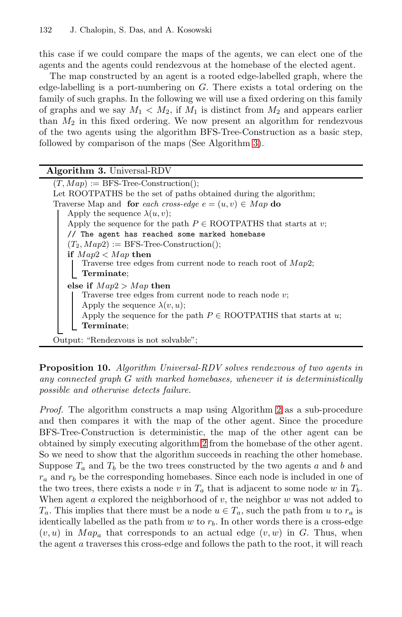<span id="page-13-0"></span>this case if we could compare th[e m](#page-13-0)aps of the agents, we can elect one of the agents and the agents could rendezvous at the homebase of the elected agent.

The map constructed by an agent is a rooted edge-labelled graph, where the edge-labelling is a port-numbering on G. There exists a total ordering on the family of such graphs. In the following we will use a fixed ordering on this family of graphs and we say  $M_1 < M_2$ , if  $M_1$  is distinct from  $M_2$  and appears earlier than  $M_2$  in this fixed ordering. We now present an algorithm for rendezvous of the two agents using the algorithm BFS-Tree-Construction as a basic step, followed by comparison of the maps (See Algorithm 3).

#### **Algorithm 3.** Universal-RDV

| $(T, Map) :=$ BFS-Tree-Construction();                                     |
|----------------------------------------------------------------------------|
| Let ROOTPATHS be the set of paths obtained during the algorithm;           |
| Traverse Map and for each cross-edge $e = (u, v) \in Map$ do               |
| Apply the sequence $\lambda(u, v)$ ;                                       |
| Apply the sequence for the path $P \in \text{ROOTPATHS}$ that starts at v; |
| // The agent has reached some marked homebase                              |
| $(T_2, Map2) :=$ BFS-Tree-Construction();                                  |
| if $Map2 < Map$ then                                                       |
| Traverse tree edges from current node to reach root of $Map2$ ;            |
| Terminate:                                                                 |
| else if $Map2 > Map$ then                                                  |
| Traverse tree edges from current node to reach node $v$ ;                  |
| Apply the sequence $\lambda(v, u)$ ;                                       |
| Apply the sequence for the path $P \in \text{ROOTPATHS}$ that starts at u; |
| Terminate;                                                                 |
|                                                                            |
| Output: "Rendezvous is not solvable";                                      |

**Proposition 10.** *Algorithm Universal-RDV solves rendezvous of two agents in any connected graph* G *with marked homebases, whenever it is deterministically possible and otherwise detects failure.*

*Proof.* The algorithm constructs a map using Algorithm 2 as a sub-procedure and then compares it with the map of the other agent. Since the procedure BFS-Tree-Construction is deterministic, the map of the other agent can be obtained by simply executing algorithm 2 from the homebase of the other agent. So we need to show that the algorithm succeeds in reaching the other homebase. Suppose  $T_a$  and  $T_b$  be the two trees constructed by the two agents a and b and  $r_a$  and  $r_b$  be the corresponding homebases. Since each node is included in one of the two trees, there exists a node v in  $T_a$  that is adjacent to some node w in  $T_b$ . When agent  $a$  explored the neighborhood of  $v$ , the neighbor  $w$  was not added to  $T_a$ . This implies that there must be a node  $u \in T_a$ , such the path from u to  $r_a$  is identically labelled as the path from  $w$  to  $r_b$ . In other words there is a cross-edge  $(v, u)$  in  $Map_a$  that corresponds to an actual edge  $(v, w)$  in G. Thus, when the agent  $a$  traverses this cross-edge and follows the path to the root, it will reach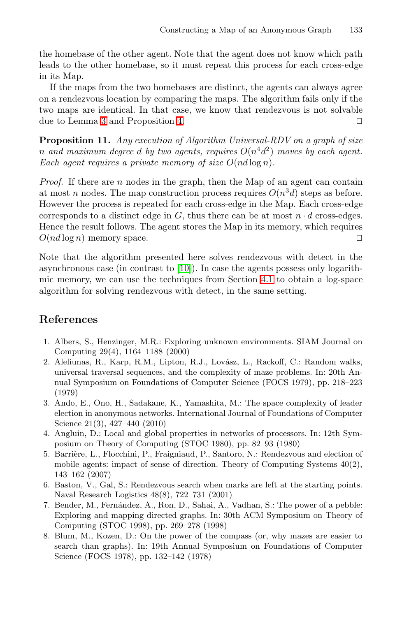<span id="page-14-4"></span>the homebase of the other agent. Note that the agent does not know which path leads to the other homebase, so it must repeat this process for each cross-edge in its Map.

If the maps from the two homebases are distinct, the agents can always agree on a rendezvous location by comparing the maps. The algorithm fails only if the two maps are identical. In that case, we know that rendezvous is not solvable due to Lemma 3 and Proposition 4. 

**Proposition 11.** *Any execution of Algorithm Universal-RDV on a graph of size n* and maximum degree d by two agents, requires  $O(n^4d^2)$  moves by each agent. *Each agent requires a private memory of size* O(nd log n)*.*

*Proof.* If there [are](#page-15-1) n nodes in the graph, then the Map of an agent can contain at most n nodes. The map constru[ction](#page-9-1) process requires  $O(n^3d)$  steps as before. However the process is repeated for each cross-edge in the Map. Each cross-edge corresponds to a distinct edge in G, thus there can be at most  $n \cdot d$  cross-edges. Hence the result follows. The agent stores the Map in its memory, which requires  $O(nd \log n)$  memory space.

Note that the algorithm presented here solves rendezvous with detect in the asynchronous case (in contrast to [10]). In case the agents possess only logarithmic memory, we can use the techniques from Section 4.1 to obtain a log-space algorithm for solving rendezvous with detect, in the same setting.

## <span id="page-14-3"></span><span id="page-14-2"></span>**References**

- 1. Albers, S., Henzinger, M.R.: Exploring unknown environments. SIAM Journal on Computing 29(4), 1164–1188 (2000)
- <span id="page-14-0"></span>2. Aleliunas, R., Karp, R.M., Lipton, R.J., Lovász, L., Rackoff, C.: Random walks, universal traversal sequences, and the complexity of maze problems. In: 20th Annual Symposium on Foundations of Computer Science (FOCS 1979), pp. 218–223 (1979)
- <span id="page-14-1"></span>3. Ando, E., Ono, H., Sadakane, K., Yamashita, M.: The space complexity of leader election in anonymous networks. International Journal of Foundations of Computer Science 21(3), 427–440 (2010)
- 4. Angluin, D.: Local and global properties in networks of processors. In: 12th Symposium on Theory of Computing (STOC 1980), pp. 82–93 (1980)
- 5. Barrière, L., Flocchini, P., Fraigniaud, P., Santoro, N.: Rendezvous and election of mobile agents: impact of sense of direction. Theory of Computing Systems 40(2), 143–162 (2007)
- 6. Baston, V., Gal, S.: Rendezvous search when marks are left at the starting points. Naval Research Logistics 48(8), 722–731 (2001)
- 7. Bender, M., Fernández, A., Ron, D., Sahai, A., Vadhan, S.: The power of a pebble: Exploring and mapping directed graphs. In: 30th ACM Symposium on Theory of Computing (STOC 1998), pp. 269–278 (1998)
- 8. Blum, M., Kozen, D.: On the power of the compass (or, why mazes are easier to search than graphs). In: 19th Annual Symposium on Foundations of Computer Science (FOCS 1978), pp. 132–142 (1978)